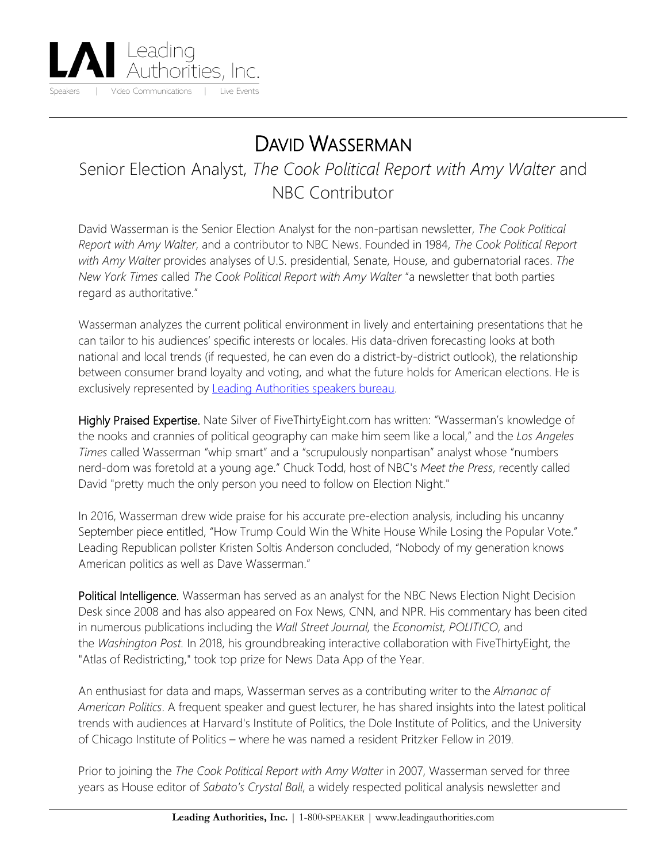

## DAVID WASSERMAN

## Senior Election Analyst, *The Cook Political Report with Amy Walter* and NBC Contributor

David Wasserman is the Senior Election Analyst for the non-partisan newsletter, *The Cook Political Report with Amy Walter*, and a contributor to NBC News. Founded in 1984, *The Cook Political Report with Amy Walter* provides analyses of U.S. presidential, Senate, House, and gubernatorial races. *The New York Times* called *The Cook Political Report with Amy Walter* "a newsletter that both parties regard as authoritative."

Wasserman analyzes the current political environment in lively and entertaining presentations that he can tailor to his audiences' specific interests or locales. His data-driven forecasting looks at both national and local trends (if requested, he can even do a district-by-district outlook), the relationship between consumer brand loyalty and voting, and what the future holds for American elections. He is exclusively represented by [Leading Authorities speakers bureau.](https://www.leadingauthorities.com/)

Highly Praised Expertise. Nate Silver of FiveThirtyEight.com has written: "Wasserman's knowledge of the nooks and crannies of political geography can make him seem like a local," and the *Los Angeles Times* called Wasserman "whip smart" and a "scrupulously nonpartisan" analyst whose "numbers nerd-dom was foretold at a young age." Chuck Todd, host of NBC's *Meet the Press*, recently called David "pretty much the only person you need to follow on Election Night."

In 2016, Wasserman drew wide praise for his accurate pre-election analysis, including his uncanny September piece entitled, "How Trump Could Win the White House While Losing the Popular Vote." Leading Republican pollster Kristen Soltis Anderson concluded, "Nobody of my generation knows American politics as well as Dave Wasserman."

Political Intelligence. Wasserman has served as an analyst for the NBC News Election Night Decision Desk since 2008 and has also appeared on Fox News, CNN, and NPR. His commentary has been cited in numerous publications including the *Wall Street Journal,* the *Economist, POLITICO*, and the *Washington Post.* In 2018, his groundbreaking interactive collaboration with FiveThirtyEight, the "Atlas of Redistricting," took top prize for News Data App of the Year.

An enthusiast for data and maps, Wasserman serves as a contributing writer to the *Almanac of American Politics*. A frequent speaker and guest lecturer, he has shared insights into the latest political trends with audiences at Harvard's Institute of Politics, the Dole Institute of Politics, and the University of Chicago Institute of Politics – where he was named a resident Pritzker Fellow in 2019.

Prior to joining the *The Cook Political Report with Amy Walter* in 2007, Wasserman served for three years as House editor of *Sabato's Crystal Ball*, a widely respected political analysis newsletter and